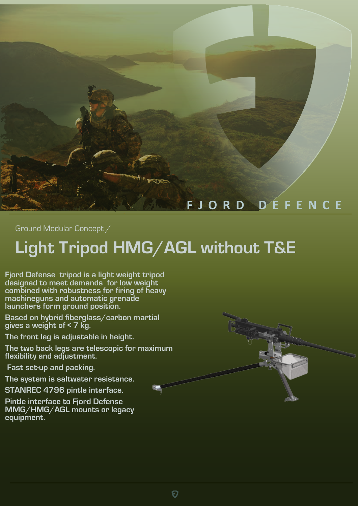

Ground Modular Concept /

## **Light Tripod HMG/AGL without T&E**

**Fjord Defense tripod is a light weight tripod designed to meet demands for low weight combined with robustness for firing of heavy machineguns and automatic grenade launchers form ground position.**

**Based on hybrid fiberglass/carbon martial gives a weight of < 7 kg.**

**The front leg is adjustable in height.**

**The two back legs are telescopic for maximum flexibility and adjustment.**

 **Fast set-up and packing.**

**The system is saltwater resistance.**

**STANREC 4796 pintle interface.**

**Pintle interface to Fjord Defense MMG/HMG/AGL mounts or legacy equipment.**